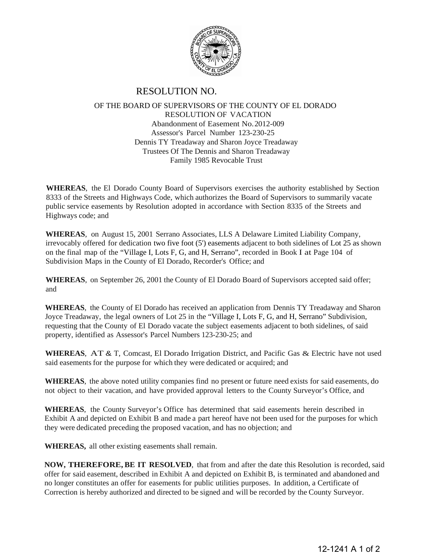

## RESOLUTION NO.

## OF THE BOARD OF SUPERVISORS OF THE COUNTY OF EL DORADO RESOLUTION OF VACATION Abandonment of Easement No. 2012-009 Assessor's Parcel Number 123-230-25 Dennis TY Treadaway and Sharon Joyce Treadaway Trustees Of The Dennis and Sharon Treadaway Family 1985 Revocable Trust

**WHEREAS**, the El Dorado County Board of Supervisors exercises the authority established by Section 8333 of the Streets and Highways Code, which authorizes the Board of Supervisors to summarily vacate public service easements by Resolution adopted in accordance with Section 8335 of the Streets and Highways code; and

**WHEREAS**, on August 15, 2001 Serrano Associates, LLS A Delaware Limited Liability Company, irrevocably offered for dedication two five foot (5') easements adjacent to both sidelines of Lot 25 as shown on the final map of the "Village I, Lots F, G, and H, Serrano", recorded in Book I at Page 104 of Subdivision Maps in the County of El Dorado, Recorder's Office; and

**WHEREAS**, on September 26, 2001 the County of El Dorado Board of Supervisors accepted said offer; and

**WHEREAS**, the County of El Dorado has received an application from Dennis TY Treadaway and Sharon Joyce Treadaway, the legal owners of Lot 25 in the "Village I, Lots F, G, and H, Serrano" Subdivision, requesting that the County of El Dorado vacate the subject easements adjacent to both sidelines, of said property, identified as Assessor's Parcel Numbers 123-230-25; and

**WHEREAS**, AT & T, Comcast, El Dorado Irrigation District, and Pacific Gas & Electric have not used said easements for the purpose for which they were dedicated or acquired; and

**WHEREAS**, the above noted utility companies find no present or future need exists for said easements, do not object to their vacation, and have provided approval letters to the County Surveyor's Office, and

**WHEREAS**, the County Surveyor's Office has determined that said easements herein described in Exhibit A and depicted on Exhibit B and made a part hereof have not been used for the purposes for which they were dedicated preceding the proposed vacation, and has no objection; and

**WHEREAS,** all other existing easements shall remain.

**NOW, THEREFORE, BE IT RESOLVED**, that from and after the date this Resolution is recorded, said offer for said easement, described in Exhibit A and depicted on Exhibit B, is terminated and abandoned and no longer constitutes an offer for easements for public utilities purposes. In addition, a Certificate of Correction is hereby authorized and directed to be signed and will be recorded by the County Surveyor.